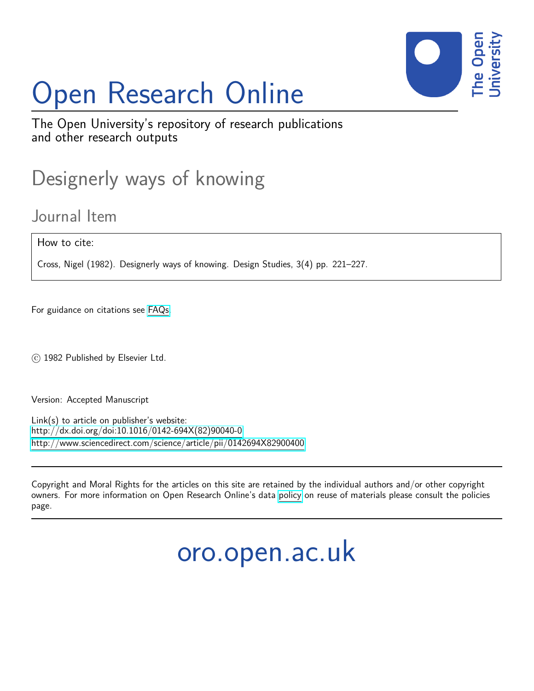# Open Research Online



The Open University's repository of research publications and other research outputs

## Designerly ways of knowing

### Journal Item

#### How to cite:

Cross, Nigel (1982). Designerly ways of knowing. Design Studies, 3(4) pp. 221–227.

For guidance on citations see [FAQs.](http://oro.open.ac.uk/help/helpfaq.html)

c 1982 Published by Elsevier Ltd.

Version: Accepted Manuscript

Link(s) to article on publisher's website: [http://dx.doi.org/doi:10.1016/0142-694X\(82\)90040-0](http://dx.doi.org/doi:10.1016/0142-694X(82)90040-0) <http://www.sciencedirect.com/science/article/pii/0142694X82900400>

Copyright and Moral Rights for the articles on this site are retained by the individual authors and/or other copyright owners. For more information on Open Research Online's data [policy](http://oro.open.ac.uk/policies.html) on reuse of materials please consult the policies page.

oro.open.ac.uk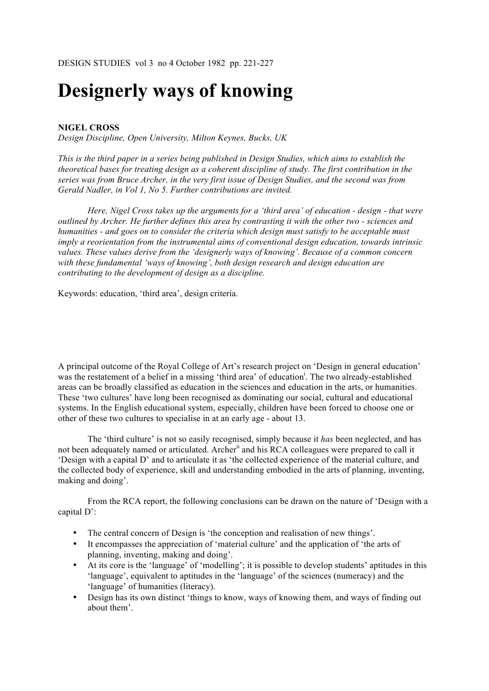### **Designerly ways of knowing**

#### **NIGEL CROSS**

*Design Discipline, Open University, Milton Keynes, Bucks, UK*

*This is the third paper in a series being published in Design Studies, which aims to establish the theoretical bases for treating design as a coherent discipline of study. The first contribution in the series was from Bruce Archer, in the very first issue of Design Studies, and the second was from Gerald Nadler, in Vol 1, No 5. Further contributions are invited.*

*Here, Nigel Cross takes up the arguments for a 'third area' of education - design - that were outlined by Archer. He further defines this area by contrasting it with the other two - sciences and humanities - and goes on to consider the criteria which design must satisfy to be acceptable must imply a reorientation from the instrumental aims of conventional design education, towards intrinsic values. These values derive from the 'designerly ways of knowing'. Because of a common concern with these fundamental 'ways of knowing', both design research and design education are contributing to the development of design as a discipline.*

Keywords: education, 'third area', design criteria.

A principal outcome of the Royal College of Art's research project on 'Design in general education' was the restatement of a belief in a missing 'third area' of education<sup>i</sup>. The two already-established areas can be broadly classified as education in the sciences and education in the arts, or humanities. These 'two cultures' have long been recognised as dominating our social, cultural and educational systems. In the English educational system, especially, children have been forced to choose one or other of these two cultures to specialise in at an early age - about 13.

The 'third culture' is not so easily recognised, simply because it *has* been neglected, and has not been adequately named or articulated. Archer<sup>ii</sup> and his RCA colleagues were prepared to call it 'Design with a capital D' and to articulate it as 'the collected experience of the material culture, and the collected body of experience, skill and understanding embodied in the arts of planning, inventing, making and doing'.

From the RCA report, the following conclusions can be drawn on the nature of 'Design with a capital D':

- The central concern of Design is 'the conception and realisation of new things'.
- It encompasses the appreciation of 'material culture' and the application of 'the arts of planning, inventing, making and doing'.
- At its core is the 'language' of 'modelling'; it is possible to develop students' aptitudes in this 'language', equivalent to aptitudes in the 'language' of the sciences (numeracy) and the 'language' of humanities (literacy).
- Design has its own distinct 'things to know, ways of knowing them, and ways of finding out about them'.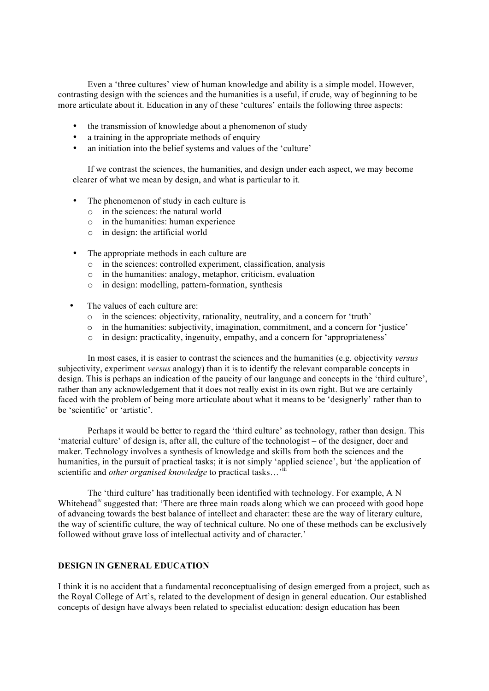Even a 'three cultures' view of human knowledge and ability is a simple model. However, contrasting design with the sciences and the humanities is a useful, if crude, way of beginning to be more articulate about it. Education in any of these 'cultures' entails the following three aspects:

- the transmission of knowledge about a phenomenon of study
- a training in the appropriate methods of enquiry
- an initiation into the belief systems and values of the 'culture'

If we contrast the sciences, the humanities, and design under each aspect, we may become clearer of what we mean by design, and what is particular to it.

- The phenomenon of study in each culture is
	- o in the sciences: the natural world
	- o in the humanities: human experience
	- o in design: the artificial world
- The appropriate methods in each culture are
	- o in the sciences: controlled experiment, classification, analysis
	- o in the humanities: analogy, metaphor, criticism, evaluation
	- o in design: modelling, pattern-formation, synthesis
- The values of each culture are:
	- o in the sciences: objectivity, rationality, neutrality, and a concern for 'truth'
	- o in the humanities: subjectivity, imagination, commitment, and a concern for 'justice'
	- o in design: practicality, ingenuity, empathy, and a concern for 'appropriateness'

In most cases, it is easier to contrast the sciences and the humanities (e.g. objectivity *versus* subjectivity, experiment *versus* analogy) than it is to identify the relevant comparable concepts in design. This is perhaps an indication of the paucity of our language and concepts in the 'third culture', rather than any acknowledgement that it does not really exist in its own right. But we are certainly faced with the problem of being more articulate about what it means to be 'designerly' rather than to be 'scientific' or 'artistic'.

Perhaps it would be better to regard the 'third culture' as technology, rather than design. This 'material culture' of design is, after all, the culture of the technologist – of the designer, doer and maker. Technology involves a synthesis of knowledge and skills from both the sciences and the humanities, in the pursuit of practical tasks; it is not simply 'applied science', but 'the application of scientific and *other organised knowledge* to practical tasks...<sup>3iif</sup>

The 'third culture' has traditionally been identified with technology. For example, A N Whitehead<sup>iv</sup> suggested that: 'There are three main roads along which we can proceed with good hope of advancing towards the best balance of intellect and character: these are the way of literary culture, the way of scientific culture, the way of technical culture. No one of these methods can be exclusively followed without grave loss of intellectual activity and of character.'

#### **DESIGN IN GENERAL EDUCATION**

I think it is no accident that a fundamental reconceptualising of design emerged from a project, such as the Royal College of Art's, related to the development of design in general education. Our established concepts of design have always been related to specialist education: design education has been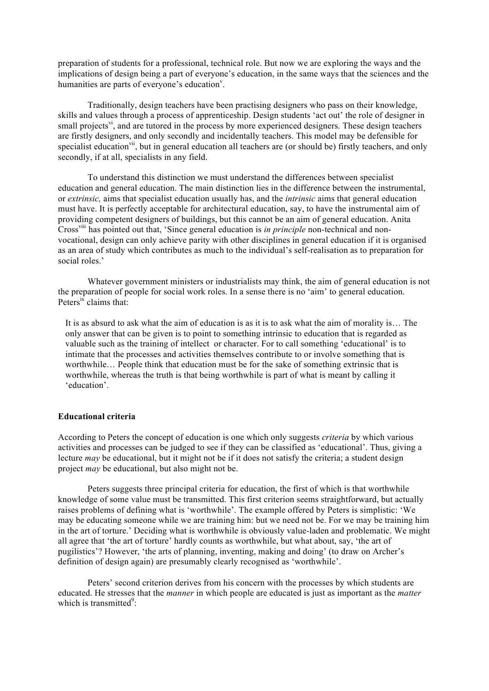preparation of students for a professional, technical role. But now we are exploring the ways and the implications of design being a part of everyone's education, in the same ways that the sciences and the humanities are parts of everyone's education<sup>v</sup>.

Traditionally, design teachers have been practising designers who pass on their knowledge, skills and values through a process of apprenticeship. Design students 'act out' the role of designer in small projects<sup>vi</sup>, and are tutored in the process by more experienced designers. These design teachers are firstly designers, and only secondly and incidentally teachers. This model may be defensible for specialist education<sup>vii</sup>, but in general education all teachers are (or should be) firstly teachers, and only secondly, if at all, specialists in any field.

To understand this distinction we must understand the differences between specialist education and general education. The main distinction lies in the difference between the instrumental, or *extrinsic,* aims that specialist education usually has, and the *intrinsic* aims that general education must have. It is perfectly acceptable for architectural education, say, to have the instrumental aim of providing competent designers of buildings, but this cannot be an aim of general education. Anita Crossviii has pointed out that, 'Since general education is *in principle* non-technical and nonvocational, design can only achieve parity with other disciplines in general education if it is organised as an area of study which contributes as much to the individual's self-realisation as to preparation for social roles.'

Whatever government ministers or industrialists may think, the aim of general education is not the preparation of people for social work roles. In a sense there is no 'aim' to general education. Peters<sup>ix</sup> claims that:

It is as absurd to ask what the aim of education is as it is to ask what the aim of morality is… The only answer that can be given is to point to something intrinsic to education that is regarded as valuable such as the training of intellect or character. For to call something 'educational' is to intimate that the processes and activities themselves contribute to or involve something that is worthwhile… People think that education must be for the sake of something extrinsic that is worthwhile, whereas the truth is that being worthwhile is part of what is meant by calling it 'education'.

#### **Educational criteria**

According to Peters the concept of education is one which only suggests *criteria* by which various activities and processes can be judged to see if they can be classified as 'educational'. Thus, giving a lecture *may* be educational, but it might not be if it does not satisfy the criteria; a student design project *may* be educational, but also might not be.

Peters suggests three principal criteria for education, the first of which is that worthwhile knowledge of some value must be transmitted. This first criterion seems straightforward, but actually raises problems of defining what is 'worthwhile'. The example offered by Peters is simplistic: 'We may be educating someone while we are training him: but we need not be. For we may be training him in the art of torture.' Deciding what is worthwhile is obviously value-laden and problematic. We might all agree that 'the art of torture' hardly counts as worthwhile, but what about, say, 'the art of pugilistics'? However, 'the arts of planning, inventing, making and doing' (to draw on Archer's definition of design again) are presumably clearly recognised as 'worthwhile'.

Peters' second criterion derives from his concern with the processes by which students are educated. He stresses that the *manner* in which people are educated is just as important as the *matter* which is transmitted $9$ :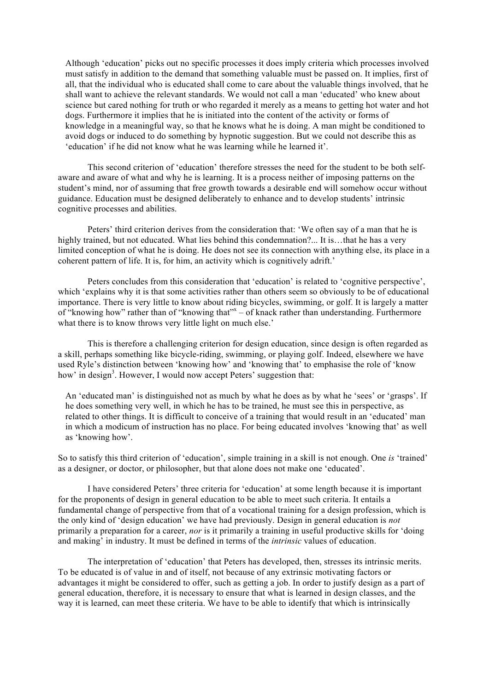Although 'education' picks out no specific processes it does imply criteria which processes involved must satisfy in addition to the demand that something valuable must be passed on. It implies, first of all, that the individual who is educated shall come to care about the valuable things involved, that he shall want to achieve the relevant standards. We would not call a man 'educated' who knew about science but cared nothing for truth or who regarded it merely as a means to getting hot water and hot dogs. Furthermore it implies that he is initiated into the content of the activity or forms of knowledge in a meaningful way, so that he knows what he is doing. A man might be conditioned to avoid dogs or induced to do something by hypnotic suggestion. But we could not describe this as 'education' if he did not know what he was learning while he learned it'.

This second criterion of 'education' therefore stresses the need for the student to be both selfaware and aware of what and why he is learning. It is a process neither of imposing patterns on the student's mind, nor of assuming that free growth towards a desirable end will somehow occur without guidance. Education must be designed deliberately to enhance and to develop students' intrinsic cognitive processes and abilities.

Peters' third criterion derives from the consideration that: 'We often say of a man that he is highly trained, but not educated. What lies behind this condemnation?... It is…that he has a very limited conception of what he is doing. He does not see its connection with anything else, its place in a coherent pattern of life. It is, for him, an activity which is cognitively adrift.'

Peters concludes from this consideration that 'education' is related to 'cognitive perspective', which 'explains why it is that some activities rather than others seem so obviously to be of educational importance. There is very little to know about riding bicycles, swimming, or golf. It is largely a matter of "knowing how" rather than of "knowing that"<sup>x</sup> – of knack rather than understanding. Furthermore what there is to know throws very little light on much else.'

This is therefore a challenging criterion for design education, since design is often regarded as a skill, perhaps something like bicycle-riding, swimming, or playing golf. Indeed, elsewhere we have used Ryle's distinction between 'knowing how' and 'knowing that' to emphasise the role of 'know how' in design<sup>3</sup>. However, I would now accept Peters' suggestion that:

An 'educated man' is distinguished not as much by what he does as by what he 'sees' or 'grasps'. If he does something very well, in which he has to be trained, he must see this in perspective, as related to other things. It is difficult to conceive of a training that would result in an 'educated' man in which a modicum of instruction has no place. For being educated involves 'knowing that' as well as 'knowing how'.

So to satisfy this third criterion of 'education', simple training in a skill is not enough. One *is* 'trained' as a designer, or doctor, or philosopher, but that alone does not make one 'educated'.

I have considered Peters' three criteria for 'education' at some length because it is important for the proponents of design in general education to be able to meet such criteria. It entails a fundamental change of perspective from that of a vocational training for a design profession, which is the only kind of 'design education' we have had previously. Design in general education is *not* primarily a preparation for a career, *nor* is it primarily a training in useful productive skills for 'doing and making' in industry. It must be defined in terms of the *intrinsic* values of education.

The interpretation of 'education' that Peters has developed, then, stresses its intrinsic merits. To be educated is of value in and of itself, not because of any extrinsic motivating factors or advantages it might be considered to offer, such as getting a job. In order to justify design as a part of general education, therefore, it is necessary to ensure that what is learned in design classes, and the way it is learned, can meet these criteria. We have to be able to identify that which is intrinsically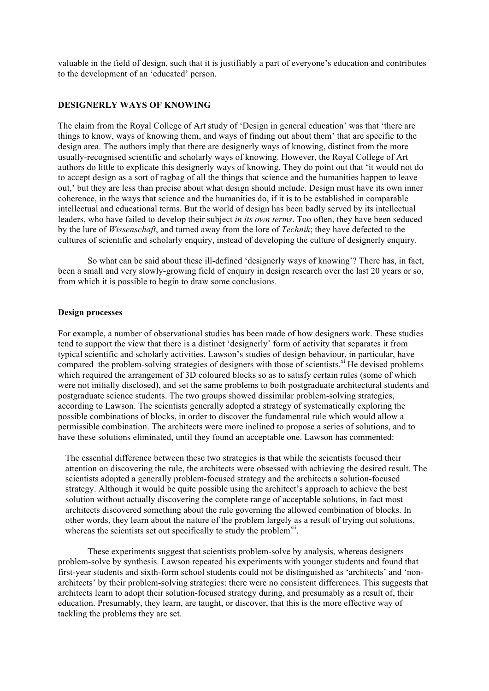valuable in the field of design, such that it is justifiably a part of everyone's education and contributes to the development of an 'educated' person.

#### **DESIGNERLY WAYS OF KNOWING**

The claim from the Royal College of Art study of 'Design in general education' was that 'there are things to know, ways of knowing them, and ways of finding out about them' that are specific to the design area. The authors imply that there are designerly ways of knowing, distinct from the more usually-recognised scientific and scholarly ways of knowing. However, the Royal College of Art authors do little to explicate this designerly ways of knowing. They do point out that 'it would not do to accept design as a sort of ragbag of all the things that science and the humanities happen to leave out,' but they are less than precise about what design should include. Design must have its own inner coherence, in the ways that science and the humanities do, if it is to be established in comparable intellectual and educational terms. But the world of design has been badly served by its intellectual leaders, who have failed to develop their subject *in its own terms*. Too often, they have been seduced by the lure of *Wissenschaft*, and turned away from the lore of *Technik*; they have defected to the cultures of scientific and scholarly enquiry, instead of developing the culture of designerly enquiry.

So what can be said about these ill-defined 'designerly ways of knowing'? There has, in fact, been a small and very slowly-growing field of enquiry in design research over the last 20 years or so, from which it is possible to begin to draw some conclusions.

#### **Design processes**

For example, a number of observational studies has been made of how designers work. These studies tend to support the view that there is a distinct 'designerly' form of activity that separates it from typical scientific and scholarly activities. Lawson's studies of design behaviour, in particular, have compared the problem-solving strategies of designers with those of scientists.<sup>xi</sup> He devised problems which required the arrangement of 3D coloured blocks so as to satisfy certain rules (some of which were not initially disclosed), and set the same problems to both postgraduate architectural students and postgraduate science students. The two groups showed dissimilar problem-solving strategies, according to Lawson. The scientists generally adopted a strategy of systematically exploring the possible combinations of blocks, in order to discover the fundamental rule which would allow a permissible combination. The architects were more inclined to propose a series of solutions, and to have these solutions eliminated, until they found an acceptable one. Lawson has commented:

The essential difference between these two strategies is that while the scientists focused their attention on discovering the rule, the architects were obsessed with achieving the desired result. The scientists adopted a generally problem-focused strategy and the architects a solution-focused strategy. Although it would be quite possible using the architect's approach to achieve the best solution without actually discovering the complete range of acceptable solutions, in fact most architects discovered something about the rule governing the allowed combination of blocks. In other words, they learn about the nature of the problem largely as a result of trying out solutions, whereas the scientists set out specifically to study the problem<sup> $xi$ ii</sup>.

These experiments suggest that scientists problem-solve by analysis, whereas designers problem-solve by synthesis. Lawson repeated his experiments with younger students and found that first-year students and sixth-form school students could not be distinguished as 'architects' and 'nonarchitects' by their problem-solving strategies: there were no consistent differences. This suggests that architects learn to adopt their solution-focused strategy during, and presumably as a result of, their education. Presumably, they learn, are taught, or discover, that this is the more effective way of tackling the problems they are set.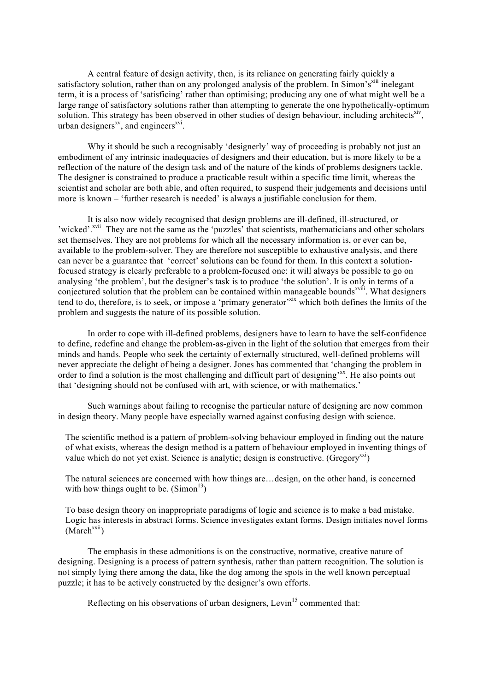A central feature of design activity, then, is its reliance on generating fairly quickly a satisfactory solution, rather than on any prolonged analysis of the problem. In Simon's<sup>xiii</sup> inelegant term, it is a process of 'satisficing' rather than optimising; producing any one of what might well be a large range of satisfactory solutions rather than attempting to generate the one hypothetically-optimum solution. This strategy has been observed in other studies of design behaviour, including architects<sup>xiv</sup>, urban designers $x<sub>v</sub>$ , and engineers $x<sub>v1</sub>$ .

Why it should be such a recognisably 'designerly' way of proceeding is probably not just an embodiment of any intrinsic inadequacies of designers and their education, but is more likely to be a reflection of the nature of the design task and of the nature of the kinds of problems designers tackle. The designer is constrained to produce a practicable result within a specific time limit, whereas the scientist and scholar are both able, and often required, to suspend their judgements and decisions until more is known – 'further research is needed' is always a justifiable conclusion for them.

It is also now widely recognised that design problems are ill-defined, ill-structured, or 'wicked'.<sup>xvii</sup> They are not the same as the 'puzzles' that scientists, mathematicians and other scholars set themselves. They are not problems for which all the necessary information is, or ever can be, available to the problem-solver. They are therefore not susceptible to exhaustive analysis, and there can never be a guarantee that 'correct' solutions can be found for them. In this context a solutionfocused strategy is clearly preferable to a problem-focused one: it will always be possible to go on analysing 'the problem', but the designer's task is to produce 'the solution'. It is only in terms of a conjectured solution that the problem can be contained within manageable bounds<sup>xviii</sup>. What designers tend to do, therefore, is to seek, or impose a 'primary generator'xix which both defines the limits of the problem and suggests the nature of its possible solution.

In order to cope with ill-defined problems, designers have to learn to have the self-confidence to define, redefine and change the problem-as-given in the light of the solution that emerges from their minds and hands. People who seek the certainty of externally structured, well-defined problems will never appreciate the delight of being a designer. Jones has commented that 'changing the problem in order to find a solution is the most challenging and difficult part of designing'xx. He also points out that 'designing should not be confused with art, with science, or with mathematics.'

Such warnings about failing to recognise the particular nature of designing are now common in design theory. Many people have especially warned against confusing design with science.

The scientific method is a pattern of problem-solving behaviour employed in finding out the nature of what exists, whereas the design method is a pattern of behaviour employed in inventing things of value which do not yet exist. Science is analytic; design is constructive. (Gregory<sup>xxi</sup>)

The natural sciences are concerned with how things are…design, on the other hand, is concerned with how things ought to be.  $(Simon<sup>13</sup>)$ 

To base design theory on inappropriate paradigms of logic and science is to make a bad mistake. Logic has interests in abstract forms. Science investigates extant forms. Design initiates novel forms  $(March<sup>xxi</sup>)$ 

The emphasis in these admonitions is on the constructive, normative, creative nature of designing. Designing is a process of pattern synthesis, rather than pattern recognition. The solution is not simply lying there among the data, like the dog among the spots in the well known perceptual puzzle; it has to be actively constructed by the designer's own efforts.

Reflecting on his observations of urban designers, Levin<sup>15</sup> commented that: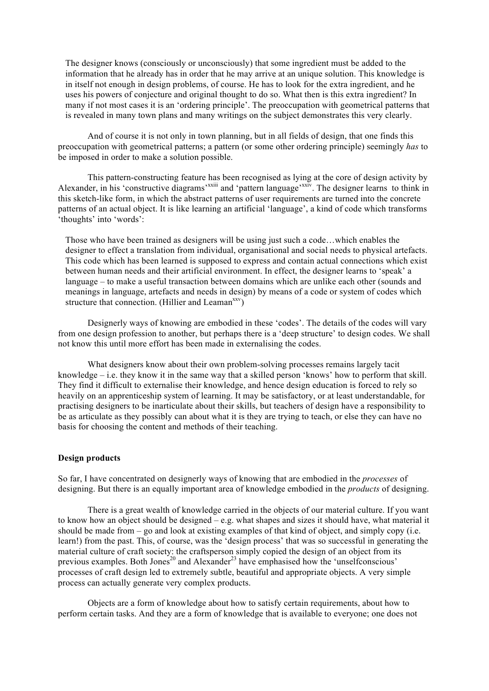The designer knows (consciously or unconsciously) that some ingredient must be added to the information that he already has in order that he may arrive at an unique solution. This knowledge is in itself not enough in design problems, of course. He has to look for the extra ingredient, and he uses his powers of conjecture and original thought to do so. What then is this extra ingredient? In many if not most cases it is an 'ordering principle'. The preoccupation with geometrical patterns that is revealed in many town plans and many writings on the subject demonstrates this very clearly.

And of course it is not only in town planning, but in all fields of design, that one finds this preoccupation with geometrical patterns; a pattern (or some other ordering principle) seemingly *has* to be imposed in order to make a solution possible.

This pattern-constructing feature has been recognised as lying at the core of design activity by Alexander, in his 'constructive diagrams'<sup>xxiii</sup> and 'pattern language'<sup>xxiv</sup>. The designer learns to think in this sketch-like form, in which the abstract patterns of user requirements are turned into the concrete patterns of an actual object. It is like learning an artificial 'language', a kind of code which transforms 'thoughts' into 'words':

Those who have been trained as designers will be using just such a code…which enables the designer to effect a translation from individual, organisational and social needs to physical artefacts. This code which has been learned is supposed to express and contain actual connections which exist between human needs and their artificial environment. In effect, the designer learns to 'speak' a language – to make a useful transaction between domains which are unlike each other (sounds and meanings in language, artefacts and needs in design) by means of a code or system of codes which structure that connection. (Hillier and Leaman<sup>xxv</sup>)

Designerly ways of knowing are embodied in these 'codes'. The details of the codes will vary from one design profession to another, but perhaps there is a 'deep structure' to design codes. We shall not know this until more effort has been made in externalising the codes.

What designers know about their own problem-solving processes remains largely tacit knowledge – i.e. they know it in the same way that a skilled person 'knows' how to perform that skill. They find it difficult to externalise their knowledge, and hence design education is forced to rely so heavily on an apprenticeship system of learning. It may be satisfactory, or at least understandable, for practising designers to be inarticulate about their skills, but teachers of design have a responsibility to be as articulate as they possibly can about what it is they are trying to teach, or else they can have no basis for choosing the content and methods of their teaching.

#### **Design products**

So far, I have concentrated on designerly ways of knowing that are embodied in the *processes* of designing. But there is an equally important area of knowledge embodied in the *products* of designing.

There is a great wealth of knowledge carried in the objects of our material culture. If you want to know how an object should be designed – e.g. what shapes and sizes it should have, what material it should be made from – go and look at existing examples of that kind of object, and simply copy (i.e. learn!) from the past. This, of course, was the 'design process' that was so successful in generating the material culture of craft society: the craftsperson simply copied the design of an object from its previous examples. Both Jones<sup>20</sup> and Alexander<sup>23</sup> have emphasised how the 'unselfconscious' processes of craft design led to extremely subtle, beautiful and appropriate objects. A very simple process can actually generate very complex products.

Objects are a form of knowledge about how to satisfy certain requirements, about how to perform certain tasks. And they are a form of knowledge that is available to everyone; one does not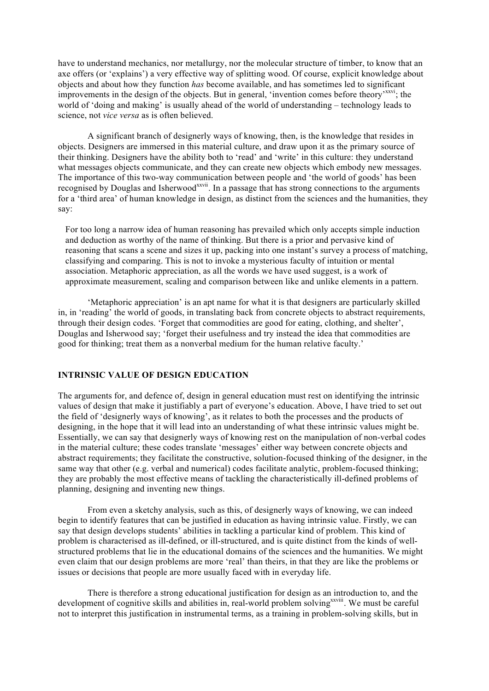have to understand mechanics, nor metallurgy, nor the molecular structure of timber, to know that an axe offers (or 'explains') a very effective way of splitting wood. Of course, explicit knowledge about objects and about how they function *has* become available, and has sometimes led to significant improvements in the design of the objects. But in general, 'invention comes before theory'<sup>xxvi</sup>; the world of 'doing and making' is usually ahead of the world of understanding – technology leads to science, not *vice versa* as is often believed.

A significant branch of designerly ways of knowing, then, is the knowledge that resides in objects. Designers are immersed in this material culture, and draw upon it as the primary source of their thinking. Designers have the ability both to 'read' and 'write' in this culture: they understand what messages objects communicate, and they can create new objects which embody new messages. The importance of this two-way communication between people and 'the world of goods' has been recognised by Douglas and Isherwood<sup>xxvii</sup>. In a passage that has strong connections to the arguments for a 'third area' of human knowledge in design, as distinct from the sciences and the humanities, they say:

For too long a narrow idea of human reasoning has prevailed which only accepts simple induction and deduction as worthy of the name of thinking. But there is a prior and pervasive kind of reasoning that scans a scene and sizes it up, packing into one instant's survey a process of matching, classifying and comparing. This is not to invoke a mysterious faculty of intuition or mental association. Metaphoric appreciation, as all the words we have used suggest, is a work of approximate measurement, scaling and comparison between like and unlike elements in a pattern.

'Metaphoric appreciation' is an apt name for what it is that designers are particularly skilled in, in 'reading' the world of goods, in translating back from concrete objects to abstract requirements, through their design codes. 'Forget that commodities are good for eating, clothing, and shelter', Douglas and Isherwood say; 'forget their usefulness and try instead the idea that commodities are good for thinking; treat them as a nonverbal medium for the human relative faculty.'

#### **INTRINSIC VALUE OF DESIGN EDUCATION**

The arguments for, and defence of, design in general education must rest on identifying the intrinsic values of design that make it justifiably a part of everyone's education. Above, I have tried to set out the field of 'designerly ways of knowing', as it relates to both the processes and the products of designing, in the hope that it will lead into an understanding of what these intrinsic values might be. Essentially, we can say that designerly ways of knowing rest on the manipulation of non-verbal codes in the material culture; these codes translate 'messages' either way between concrete objects and abstract requirements; they facilitate the constructive, solution-focused thinking of the designer, in the same way that other (e.g. verbal and numerical) codes facilitate analytic, problem-focused thinking; they are probably the most effective means of tackling the characteristically ill-defined problems of planning, designing and inventing new things.

From even a sketchy analysis, such as this, of designerly ways of knowing, we can indeed begin to identify features that can be justified in education as having intrinsic value. Firstly, we can say that design develops students' abilities in tackling a particular kind of problem. This kind of problem is characterised as ill-defined, or ill-structured, and is quite distinct from the kinds of wellstructured problems that lie in the educational domains of the sciences and the humanities. We might even claim that our design problems are more 'real' than theirs, in that they are like the problems or issues or decisions that people are more usually faced with in everyday life.

There is therefore a strong educational justification for design as an introduction to, and the development of cognitive skills and abilities in, real-world problem solving<sup>xxviii</sup>. We must be careful not to interpret this justification in instrumental terms, as a training in problem-solving skills, but in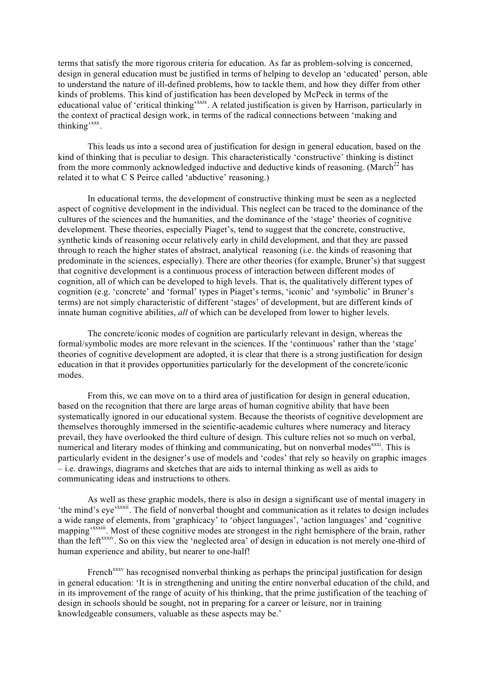terms that satisfy the more rigorous criteria for education. As far as problem-solving is concerned, design in general education must be justified in terms of helping to develop an 'educated' person, able to understand the nature of ill-defined problems, how to tackle them, and how they differ from other kinds of problems. This kind of justification has been developed by McPeck in terms of the educational value of 'critical thinking'xxix. A related justification is given by Harrison, particularly in the context of practical design work, in terms of the radical connections between 'making and thinking'xxx.

This leads us into a second area of justification for design in general education, based on the kind of thinking that is peculiar to design. This characteristically 'constructive' thinking is distinct from the more commonly acknowledged inductive and deductive kinds of reasoning. (March<sup>22</sup> has related it to what C S Peirce called 'abductive' reasoning.)

In educational terms, the development of constructive thinking must be seen as a neglected aspect of cognitive development in the individual. This neglect can be traced to the dominance of the cultures of the sciences and the humanities, and the dominance of the 'stage' theories of cognitive development. These theories, especially Piaget's, tend to suggest that the concrete, constructive, synthetic kinds of reasoning occur relatively early in child development, and that they are passed through to reach the higher states of abstract, analytical reasoning (i.e. the kinds of reasoning that predominate in the sciences, especially). There are other theories (for example, Bruner's) that suggest that cognitive development is a continuous process of interaction between different modes of cognition, all of which can be developed to high levels. That is, the qualitatively different types of cognition (e.g. 'concrete' and 'formal' types in Piaget's terms, 'iconic' and 'symbolic' in Bruner's terms) are not simply characteristic of different 'stages' of development, but are different kinds of innate human cognitive abilities, *all* of which can be developed from lower to higher levels.

The concrete/iconic modes of cognition are particularly relevant in design, whereas the formal/symbolic modes are more relevant in the sciences. If the 'continuous' rather than the 'stage' theories of cognitive development are adopted, it is clear that there is a strong justification for design education in that it provides opportunities particularly for the development of the concrete/iconic modes.

From this, we can move on to a third area of justification for design in general education, based on the recognition that there are large areas of human cognitive ability that have been systematically ignored in our educational system. Because the theorists of cognitive development are themselves thoroughly immersed in the scientific-academic cultures where numeracy and literacy prevail, they have overlooked the third culture of design. This culture relies not so much on verbal, numerical and literary modes of thinking and communicating, but on nonverbal modes<sup>xxxi</sup>. This is particularly evident in the designer's use of models and 'codes' that rely so heavily on graphic images – i.e. drawings, diagrams and sketches that are aids to internal thinking as well as aids to communicating ideas and instructions to others.

As well as these graphic models, there is also in design a significant use of mental imagery in 'the mind's eye'xxxii. The field of nonverbal thought and communication as it relates to design includes a wide range of elements, from 'graphicacy' to 'object languages', 'action languages' and 'cognitive mapping'xxxiii. Most of these cognitive modes are strongest in the right hemisphere of the brain, rather than the leftxxxiv. So on this view the 'neglected area' of design in education is not merely one-third of human experience and ability, but nearer to one-half!

French<sup>xxxv</sup> has recognised nonverbal thinking as perhaps the principal justification for design in general education: 'It is in strengthening and uniting the entire nonverbal education of the child, and in its improvement of the range of acuity of his thinking, that the prime justification of the teaching of design in schools should be sought, not in preparing for a career or leisure, nor in training knowledgeable consumers, valuable as these aspects may be.'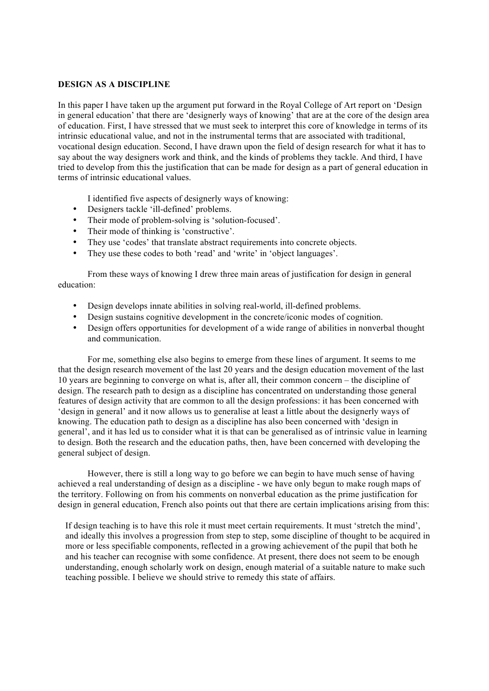#### **DESIGN AS A DISCIPLINE**

In this paper I have taken up the argument put forward in the Royal College of Art report on 'Design in general education' that there are 'designerly ways of knowing' that are at the core of the design area of education. First, I have stressed that we must seek to interpret this core of knowledge in terms of its intrinsic educational value, and not in the instrumental terms that are associated with traditional, vocational design education. Second, I have drawn upon the field of design research for what it has to say about the way designers work and think, and the kinds of problems they tackle. And third, I have tried to develop from this the justification that can be made for design as a part of general education in terms of intrinsic educational values.

I identified five aspects of designerly ways of knowing:

- Designers tackle 'ill-defined' problems.
- Their mode of problem-solving is 'solution-focused'.
- Their mode of thinking is 'constructive'.
- They use 'codes' that translate abstract requirements into concrete objects.
- They use these codes to both 'read' and 'write' in 'object languages'.

From these ways of knowing I drew three main areas of justification for design in general education:

- Design develops innate abilities in solving real-world, ill-defined problems.
- Design sustains cognitive development in the concrete/iconic modes of cognition.
- Design offers opportunities for development of a wide range of abilities in nonverbal thought and communication.

For me, something else also begins to emerge from these lines of argument. It seems to me that the design research movement of the last 20 years and the design education movement of the last 10 years are beginning to converge on what is, after all, their common concern – the discipline of design. The research path to design as a discipline has concentrated on understanding those general features of design activity that are common to all the design professions: it has been concerned with 'design in general' and it now allows us to generalise at least a little about the designerly ways of knowing. The education path to design as a discipline has also been concerned with 'design in general', and it has led us to consider what it is that can be generalised as of intrinsic value in learning to design. Both the research and the education paths, then, have been concerned with developing the general subject of design.

However, there is still a long way to go before we can begin to have much sense of having achieved a real understanding of design as a discipline - we have only begun to make rough maps of the territory. Following on from his comments on nonverbal education as the prime justification for design in general education, French also points out that there are certain implications arising from this:

If design teaching is to have this role it must meet certain requirements. It must 'stretch the mind', and ideally this involves a progression from step to step, some discipline of thought to be acquired in more or less specifiable components, reflected in a growing achievement of the pupil that both he and his teacher can recognise with some confidence. At present, there does not seem to be enough understanding, enough scholarly work on design, enough material of a suitable nature to make such teaching possible. I believe we should strive to remedy this state of affairs.